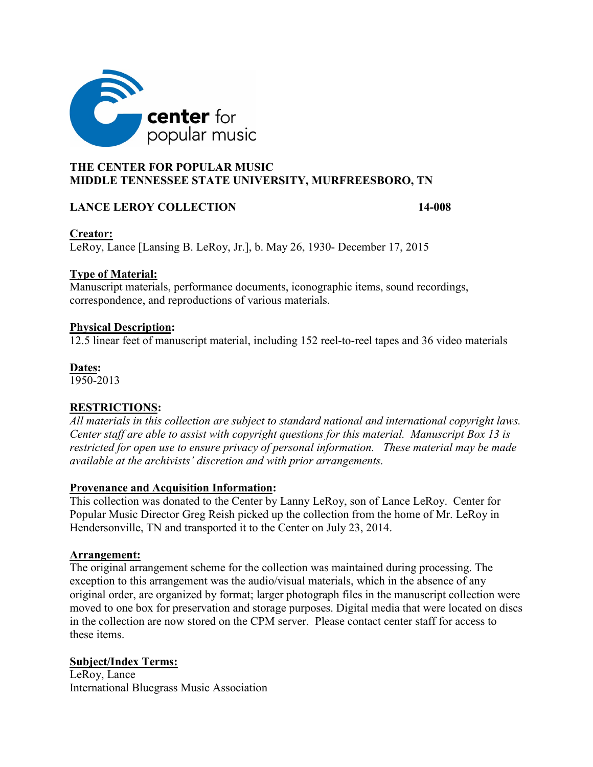

# **THE CENTER FOR POPULAR MUSIC MIDDLE TENNESSEE STATE UNIVERSITY, MURFREESBORO, TN**

# **LANCE LEROY COLLECTION 14-008**

# **Creator:**

LeRoy, Lance [Lansing B. LeRoy, Jr.], b. May 26, 1930- December 17, 2015

# **Type of Material:**

Manuscript materials, performance documents, iconographic items, sound recordings, correspondence, and reproductions of various materials.

### **Physical Description:**

12.5 linear feet of manuscript material, including 152 reel-to-reel tapes and 36 video materials

### **Dates:**

1950-2013

# **RESTRICTIONS:**

*All materials in this collection are subject to standard national and international copyright laws. Center staff are able to assist with copyright questions for this material. Manuscript Box 13 is restricted for open use to ensure privacy of personal information. These material may be made available at the archivists' discretion and with prior arrangements.* 

### **Provenance and Acquisition Information:**

This collection was donated to the Center by Lanny LeRoy, son of Lance LeRoy. Center for Popular Music Director Greg Reish picked up the collection from the home of Mr. LeRoy in Hendersonville, TN and transported it to the Center on July 23, 2014.

### **Arrangement:**

The original arrangement scheme for the collection was maintained during processing. The exception to this arrangement was the audio/visual materials, which in the absence of any original order, are organized by format; larger photograph files in the manuscript collection were moved to one box for preservation and storage purposes. Digital media that were located on discs in the collection are now stored on the CPM server. Please contact center staff for access to these items.

# **Subject/Index Terms:**

LeRoy, Lance International Bluegrass Music Association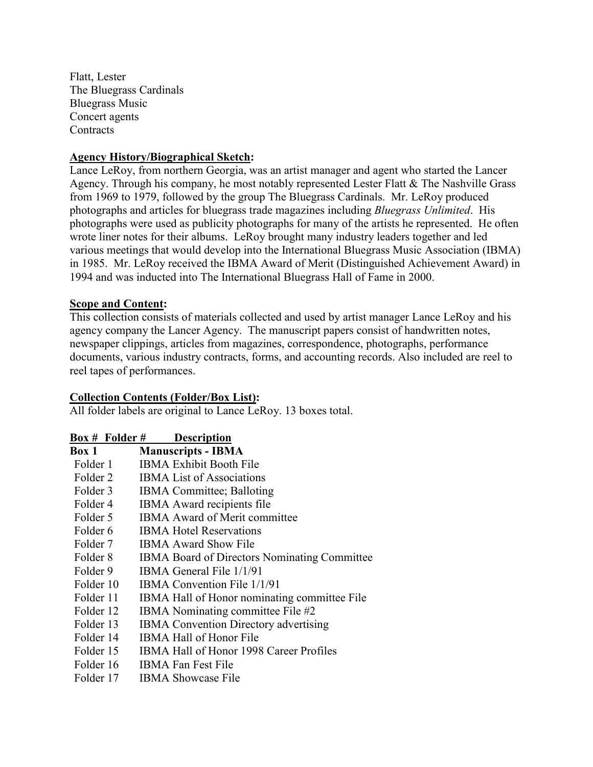Flatt, Lester The Bluegrass Cardinals Bluegrass Music Concert agents **Contracts** 

### **Agency History/Biographical Sketch:**

Lance LeRoy, from northern Georgia, was an artist manager and agent who started the Lancer Agency. Through his company, he most notably represented Lester Flatt & The Nashville Grass from 1969 to 1979, followed by the group The Bluegrass Cardinals. Mr. LeRoy produced photographs and articles for bluegrass trade magazines including *Bluegrass Unlimited*. His photographs were used as publicity photographs for many of the artists he represented. He often wrote liner notes for their albums. LeRoy brought many industry leaders together and led various meetings that would develop into the International Bluegrass Music Association (IBMA) in 1985. Mr. LeRoy received the IBMA Award of Merit (Distinguished Achievement Award) in 1994 and was inducted into The International Bluegrass Hall of Fame in 2000.

### **Scope and Content:**

This collection consists of materials collected and used by artist manager Lance LeRoy and his agency company the Lancer Agency. The manuscript papers consist of handwritten notes, newspaper clippings, articles from magazines, correspondence, photographs, performance documents, various industry contracts, forms, and accounting records. Also included are reel to reel tapes of performances.

# **Collection Contents (Folder/Box List):**

All folder labels are original to Lance LeRoy. 13 boxes total.

| <b>Box # Folder #</b> | <b>Description</b>                           |
|-----------------------|----------------------------------------------|
| Box 1                 | <b>Manuscripts - IBMA</b>                    |
| Folder 1              | <b>IBMA Exhibit Booth File</b>               |
| Folder 2              | <b>IBMA</b> List of Associations             |
| Folder 3              | <b>IBMA</b> Committee; Balloting             |
| Folder 4              | IBMA Award recipients file                   |
| Folder 5              | <b>IBMA Award of Merit committee</b>         |
| Folder 6              | <b>IBMA Hotel Reservations</b>               |
| Folder 7              | <b>IBMA Award Show File</b>                  |
| Folder 8              | IBMA Board of Directors Nominating Committee |
| Folder 9              | IBMA General File 1/1/91                     |
| Folder 10             | IBMA Convention File 1/1/91                  |
| Folder 11             | IBMA Hall of Honor nominating committee File |
| Folder 12             | IBMA Nominating committee File #2            |
| Folder 13             | <b>IBMA</b> Convention Directory advertising |
| Folder 14             | <b>IBMA Hall of Honor File</b>               |
| Folder 15             | IBMA Hall of Honor 1998 Career Profiles      |
| Folder 16             | <b>IBMA Fan Fest File</b>                    |
| Folder 17             | IBMA Showcase File                           |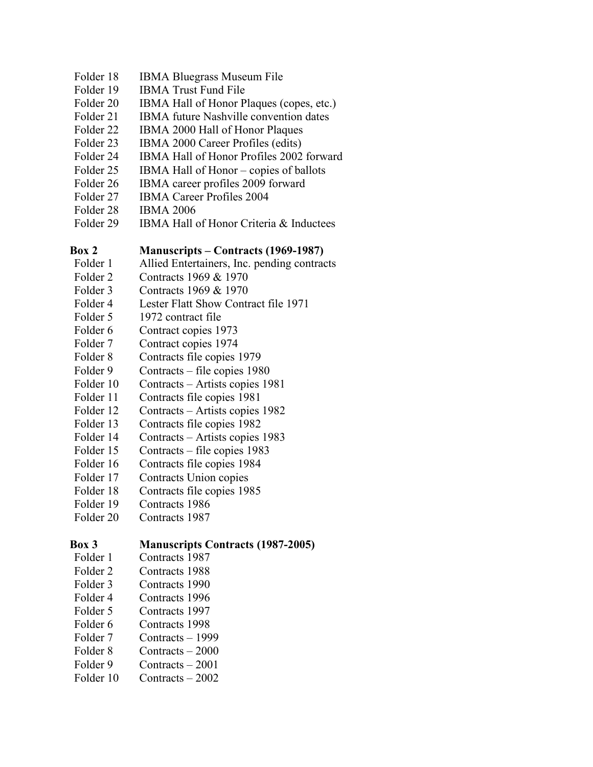- Folder 18 IBMA Bluegrass Museum File
- Folder 19 IBMA Trust Fund File
- Folder 20 IBMA Hall of Honor Plaques (copes, etc.)
- Folder 21 IBMA future Nashville convention dates
- Folder 22 IBMA 2000 Hall of Honor Plaques
- Folder 23 IBMA 2000 Career Profiles (edits)
- Folder 24 IBMA Hall of Honor Profiles 2002 forward
- Folder 25 IBMA Hall of Honor copies of ballots
- Folder 26 IBMA career profiles 2009 forward
- Folder 27 IBMA Career Profiles 2004
- Folder 28 IBMA 2006
- Folder 29 IBMA Hall of Honor Criteria & Inductees

# **Box 2 Manuscripts – Contracts (1969-1987)**

- Folder 1 Allied Entertainers, Inc. pending contracts
- Folder 2 Contracts 1969 & 1970
- Folder 3 Contracts 1969 & 1970
- Folder 4 Lester Flatt Show Contract file 1971
- Folder 5 1972 contract file
- Folder 6 Contract copies 1973
- Folder 7 Contract copies 1974
- Folder 8 Contracts file copies 1979
- Folder 9 Contracts file copies 1980
- Folder 10 Contracts Artists copies 1981
- Folder 11 Contracts file copies 1981
- Folder 12 Contracts Artists copies 1982
- Folder 13 Contracts file copies 1982
- Folder 14 Contracts Artists copies 1983
- Folder 15 Contracts file copies 1983
- Folder 16 Contracts file copies 1984
- Folder 17 Contracts Union copies
- Folder 18 Contracts file copies 1985
- Folder 19 Contracts 1986
- Folder 20 Contracts 1987

# **Box 3 Manuscripts Contracts (1987-2005)**

- Folder 1 Contracts 1987
- Folder 2 Contracts 1988
- Folder 3 Contracts 1990
- Folder 4 Contracts 1996
- Folder 5 Contracts 1997
- Folder 6 Contracts 1998
- Folder 7 Contracts 1999
- Folder 8 Contracts 2000
- Folder 9 Contracts 2001
- 
- Folder 10 Contracts 2002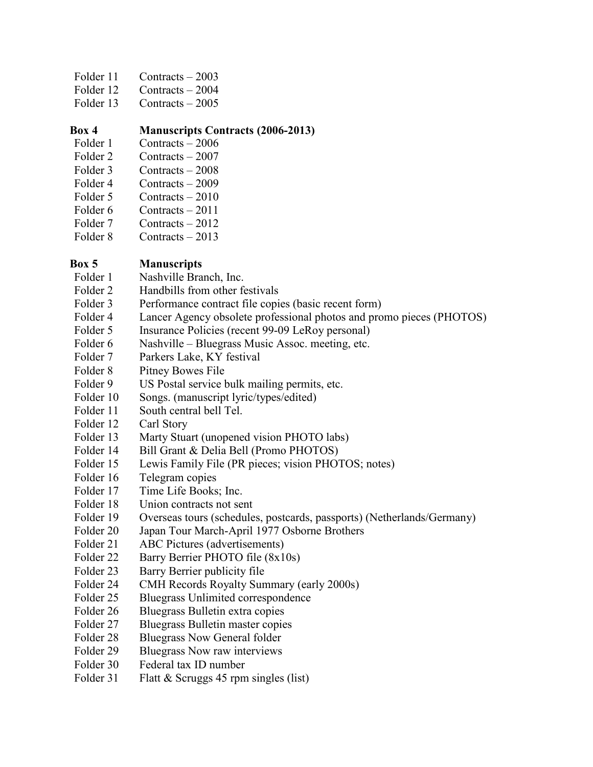- Folder 11 Contracts 2003
- Folder 12 Contracts 2004
- Folder 13 Contracts 2005

# **Box 4 Manuscripts Contracts (2006-2013)**

- Folder 1 Contracts 2006
- Folder 2 Contracts 2007
- Folder 3 Contracts 2008
- Folder 4 Contracts 2009
- Folder 5 Contracts 2010
- Folder 6 Contracts 2011
- Folder 7 Contracts 2012
- Folder 8 Contracts 2013

# **Box 5 Manuscripts**

- Folder 1 Nashville Branch, Inc.
- Folder 2 Handbills from other festivals
- Folder 3 Performance contract file copies (basic recent form)
- Folder 4 Lancer Agency obsolete professional photos and promo pieces (PHOTOS)
- Folder 5 Insurance Policies (recent 99-09 LeRoy personal)
- Folder 6 Nashville Bluegrass Music Assoc. meeting, etc.
- Folder 7 Parkers Lake, KY festival
- Folder 8 Pitney Bowes File
- Folder 9 US Postal service bulk mailing permits, etc.
- Folder 10 Songs. (manuscript lyric/types/edited)
- Folder 11 South central bell Tel.
- Folder 12 Carl Story
- Folder 13 Marty Stuart (unopened vision PHOTO labs)
- Folder 14 Bill Grant & Delia Bell (Promo PHOTOS)
- Folder 15 Lewis Family File (PR pieces; vision PHOTOS; notes)
- Folder 16 Telegram copies
- Folder 17 Time Life Books; Inc.
- Folder 18 Union contracts not sent
- Folder 19 Overseas tours (schedules, postcards, passports) (Netherlands/Germany)
- Folder 20 Japan Tour March-April 1977 Osborne Brothers
- Folder 21 ABC Pictures (advertisements)
- Folder 22 Barry Berrier PHOTO file (8x10s)
- Folder 23 Barry Berrier publicity file
- Folder 24 CMH Records Royalty Summary (early 2000s)
- Folder 25 Bluegrass Unlimited correspondence
- Folder 26 Bluegrass Bulletin extra copies
- Folder 27 Bluegrass Bulletin master copies
- Folder 28 Bluegrass Now General folder
- Folder 29 Bluegrass Now raw interviews
- Folder 30 Federal tax ID number
- Folder 31 Flatt & Scruggs 45 rpm singles (list)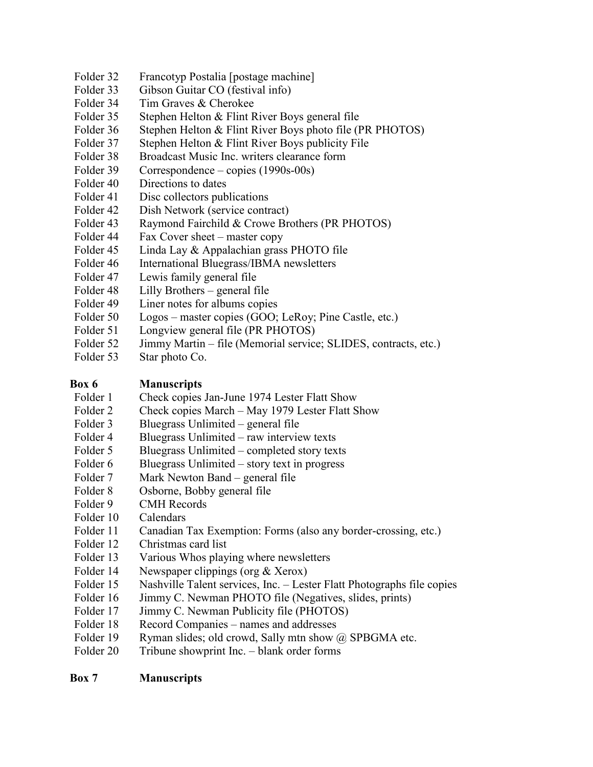- Folder 32 Francotyp Postalia [postage machine]
- Folder 33 Gibson Guitar CO (festival info)
- Folder 34 Tim Graves & Cherokee
- Folder 35 Stephen Helton & Flint River Boys general file
- Folder 36 Stephen Helton & Flint River Boys photo file (PR PHOTOS)
- Folder 37 Stephen Helton & Flint River Boys publicity File
- Folder 38 Broadcast Music Inc. writers clearance form
- Folder 39 Correspondence copies (1990s-00s)
- Folder 40 Directions to dates
- Folder 41 Disc collectors publications
- Folder 42 Dish Network (service contract)
- Folder 43 Raymond Fairchild & Crowe Brothers (PR PHOTOS)
- Folder 44 Fax Cover sheet master copy
- Folder 45 Linda Lay & Appalachian grass PHOTO file
- Folder 46 International Bluegrass/IBMA newsletters
- Folder 47 Lewis family general file
- Folder 48 Lilly Brothers general file
- Folder 49 Liner notes for albums copies
- Folder 50 Logos master copies (GOO; LeRoy; Pine Castle, etc.)
- Folder 51 Longview general file (PR PHOTOS)
- Folder 52 Jimmy Martin file (Memorial service; SLIDES, contracts, etc.)
- Folder 53 Star photo Co.

## **Box 6 Manuscripts**

- Folder 1 Check copies Jan-June 1974 Lester Flatt Show
- Folder 2 Check copies March May 1979 Lester Flatt Show
- Folder 3 Bluegrass Unlimited general file
- Folder 4 Bluegrass Unlimited raw interview texts
- Folder 5 Bluegrass Unlimited completed story texts
- Folder  $6$  Bluegrass Unlimited story text in progress
- Folder 7 Mark Newton Band general file
- Folder 8 Osborne, Bobby general file
- Folder 9 CMH Records
- Folder 10 Calendars
- Folder 11 Canadian Tax Exemption: Forms (also any border-crossing, etc.)
- Folder 12 Christmas card list
- Folder 13 Various Whos playing where newsletters
- Folder 14 Newspaper clippings (org & Xerox)
- Folder 15 Nashville Talent services, Inc. Lester Flatt Photographs file copies
- Folder 16 Jimmy C. Newman PHOTO file (Negatives, slides, prints)
- Folder 17 Jimmy C. Newman Publicity file (PHOTOS)
- Folder 18 Record Companies names and addresses
- Folder 19 Ryman slides; old crowd, Sally mtn show @ SPBGMA etc.
- Folder 20 Tribune showprint Inc. blank order forms

### **Box 7 Manuscripts**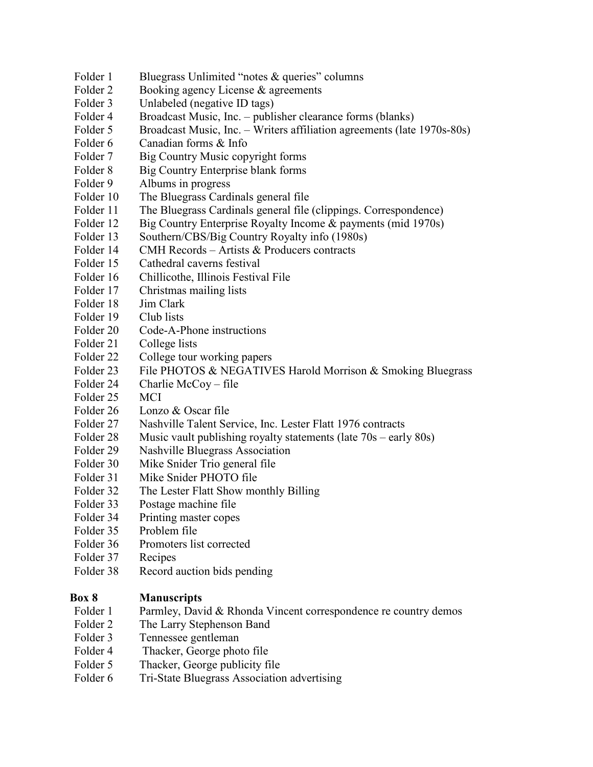- Folder 1 Bluegrass Unlimited "notes & queries" columns
- Folder 2 Booking agency License & agreements
- Folder 3 Unlabeled (negative ID tags)
- Folder 4 Broadcast Music, Inc. publisher clearance forms (blanks)
- Folder 5 Broadcast Music, Inc. Writers affiliation agreements (late 1970s-80s)
- Folder 6 Canadian forms & Info
- Folder 7 Big Country Music copyright forms
- Folder 8 Big Country Enterprise blank forms
- Folder 9 Albums in progress
- Folder 10 The Bluegrass Cardinals general file
- Folder 11 The Bluegrass Cardinals general file (clippings. Correspondence)
- Folder 12 Big Country Enterprise Royalty Income & payments (mid 1970s)
- Folder 13 Southern/CBS/Big Country Royalty info (1980s)
- Folder 14 CMH Records Artists & Producers contracts
- Folder 15 Cathedral caverns festival
- Folder 16 Chillicothe, Illinois Festival File
- Folder 17 Christmas mailing lists
- Folder 18 Jim Clark
- Folder 19 Club lists
- Folder 20 Code-A-Phone instructions
- Folder 21 College lists
- Folder 22 College tour working papers
- Folder 23 File PHOTOS & NEGATIVES Harold Morrison & Smoking Bluegrass
- Folder 24 Charlie McCoy file
- Folder 25 MCI
- Folder 26 Lonzo & Oscar file
- Folder 27 Nashville Talent Service, Inc. Lester Flatt 1976 contracts
- Folder 28 Music vault publishing royalty statements (late 70s early 80s)
- Folder 29 Nashville Bluegrass Association
- Folder 30 Mike Snider Trio general file
- Folder 31 Mike Snider PHOTO file
- Folder 32 The Lester Flatt Show monthly Billing
- Folder 33 Postage machine file
- Folder 34 Printing master copes
- Folder 35 Problem file
- Folder 36 Promoters list corrected
- Folder 37 Recipes
- Folder 38 Record auction bids pending

# **Box 8 Manuscripts**

- Folder 1 Parmley, David & Rhonda Vincent correspondence re country demos
- Folder 2 The Larry Stephenson Band
- Folder 3 Tennessee gentleman
- Folder 4 Thacker, George photo file
- Folder 5 Thacker, George publicity file
- Folder 6 Tri-State Bluegrass Association advertising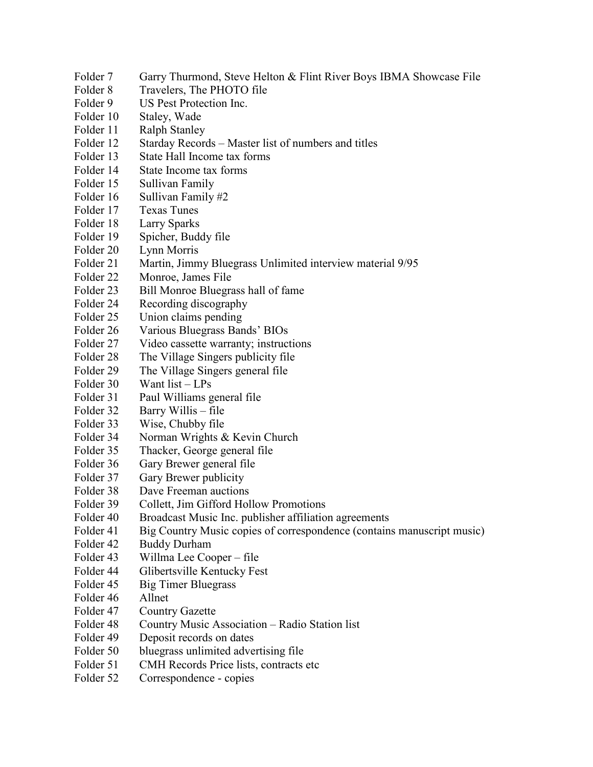- Folder 7 Garry Thurmond, Steve Helton & Flint River Boys IBMA Showcase File
- Folder 8 Travelers, The PHOTO file
- Folder 9 US Pest Protection Inc.
- Folder 10 Staley, Wade
- Folder 11 Ralph Stanley
- Folder 12 Starday Records Master list of numbers and titles
- Folder 13 State Hall Income tax forms
- Folder 14 State Income tax forms
- Folder 15 Sullivan Family
- Folder 16 Sullivan Family #2
- Folder 17 Texas Tunes
- Folder 18 Larry Sparks
- Folder 19 Spicher, Buddy file
- Folder 20 Lynn Morris
- Folder 21 Martin, Jimmy Bluegrass Unlimited interview material 9/95
- Folder 22 Monroe, James File
- Folder 23 Bill Monroe Bluegrass hall of fame
- Folder 24 Recording discography
- Folder 25 Union claims pending
- Folder 26 Various Bluegrass Bands' BIOs
- Folder 27 Video cassette warranty; instructions
- Folder 28 The Village Singers publicity file
- Folder 29 The Village Singers general file
- Folder 30 Want list LPs
- Folder 31 Paul Williams general file
- Folder 32 Barry Willis file
- Folder 33 Wise, Chubby file
- Folder 34 Norman Wrights & Kevin Church
- Folder 35 Thacker, George general file
- Folder 36 Gary Brewer general file
- Folder 37 Gary Brewer publicity
- Folder 38 Dave Freeman auctions
- Folder 39 Collett, Jim Gifford Hollow Promotions
- Folder 40 Broadcast Music Inc. publisher affiliation agreements
- Folder 41 Big Country Music copies of correspondence (contains manuscript music)
- Folder 42 Buddy Durham
- Folder 43 Willma Lee Cooper file
- Folder 44 Glibertsville Kentucky Fest
- Folder 45 Big Timer Bluegrass
- Folder 46 Allnet
- Folder 47 Country Gazette
- Folder 48 Country Music Association Radio Station list
- Folder 49 Deposit records on dates
- Folder 50 bluegrass unlimited advertising file
- Folder 51 CMH Records Price lists, contracts etc
- Folder 52 Correspondence copies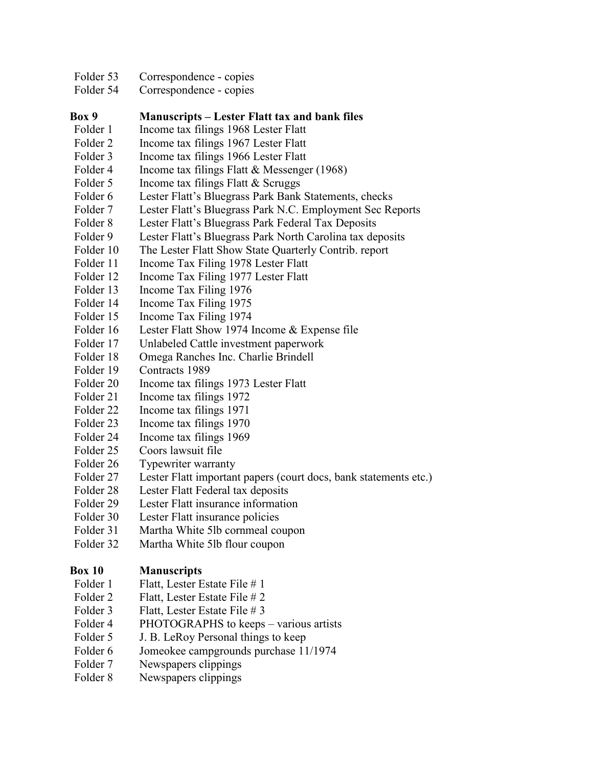- Folder 53 Correspondence copies
- Folder 54 Correspondence copies

# **Box 9 Manuscripts – Lester Flatt tax and bank files**

- Folder 1 Income tax filings 1968 Lester Flatt
- Folder 2 Income tax filings 1967 Lester Flatt
- Folder 3 Income tax filings 1966 Lester Flatt
- Folder 4 Income tax filings Flatt & Messenger (1968)
- Folder 5 Income tax filings Flatt & Scruggs
- Folder 6 Lester Flatt's Bluegrass Park Bank Statements, checks
- Folder 7 Lester Flatt's Bluegrass Park N.C. Employment Sec Reports
- Folder 8 Lester Flatt's Bluegrass Park Federal Tax Deposits
- Folder 9 Lester Flatt's Bluegrass Park North Carolina tax deposits
- Folder 10 The Lester Flatt Show State Quarterly Contrib. report
- Folder 11 Income Tax Filing 1978 Lester Flatt
- Folder 12 Income Tax Filing 1977 Lester Flatt
- Folder 13 Income Tax Filing 1976
- Folder 14 Income Tax Filing 1975
- Folder 15 Income Tax Filing 1974
- Folder 16 Lester Flatt Show 1974 Income & Expense file
- Folder 17 Unlabeled Cattle investment paperwork
- Folder 18 Omega Ranches Inc. Charlie Brindell
- Folder 19 Contracts 1989
- Folder 20 Income tax filings 1973 Lester Flatt
- Folder 21 Income tax filings 1972
- Folder 22 Income tax filings 1971
- Folder 23 Income tax filings 1970
- Folder 24 Income tax filings 1969
- Folder 25 Coors lawsuit file
- Folder 26 Typewriter warranty
- Folder 27 Lester Flatt important papers (court docs, bank statements etc.)
- Folder 28 Lester Flatt Federal tax deposits
- Folder 29 Lester Flatt insurance information
- Folder 30 Lester Flatt insurance policies
- Folder 31 Martha White 5lb cornmeal coupon
- Folder 32 Martha White 5lb flour coupon

# **Box 10 Manuscripts**

- Folder 1 Flatt, Lester Estate File # 1
- Folder 2 Flatt, Lester Estate File # 2
- Folder 3 Flatt, Lester Estate File # 3
- Folder 4 PHOTOGRAPHS to keeps various artists
- Folder 5 J. B. LeRoy Personal things to keep
- Folder 6 Jomeokee campgrounds purchase 11/1974
- Folder 7 Newspapers clippings
- Folder 8 Newspapers clippings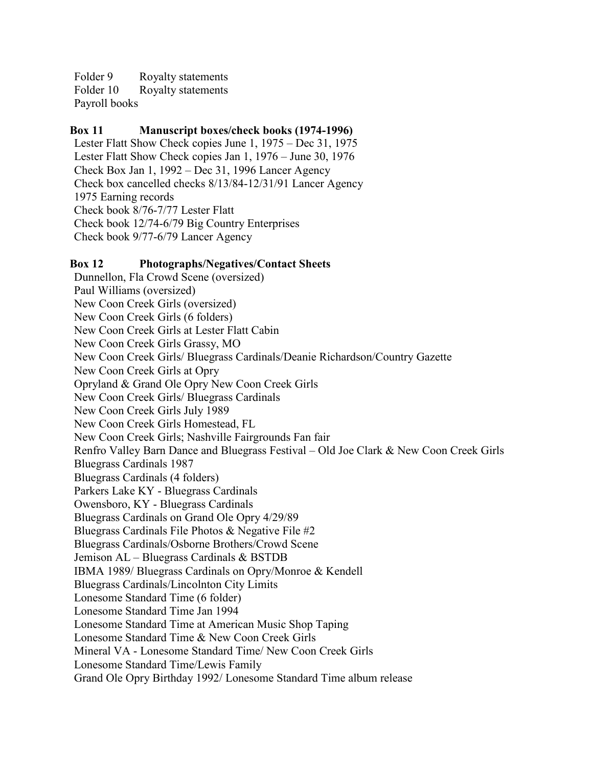Folder 9 Royalty statements Folder 10 Royalty statements Payroll books

### **Box 11 Manuscript boxes/check books (1974-1996)**

Lester Flatt Show Check copies June 1, 1975 – Dec 31, 1975 Lester Flatt Show Check copies Jan 1, 1976 – June 30, 1976 Check Box Jan 1, 1992 – Dec 31, 1996 Lancer Agency Check box cancelled checks 8/13/84-12/31/91 Lancer Agency 1975 Earning records Check book 8/76-7/77 Lester Flatt Check book 12/74-6/79 Big Country Enterprises Check book 9/77-6/79 Lancer Agency

### **Box 12 Photographs/Negatives/Contact Sheets**

Dunnellon, Fla Crowd Scene (oversized) Paul Williams (oversized) New Coon Creek Girls (oversized) New Coon Creek Girls (6 folders) New Coon Creek Girls at Lester Flatt Cabin New Coon Creek Girls Grassy, MO New Coon Creek Girls/ Bluegrass Cardinals/Deanie Richardson/Country Gazette New Coon Creek Girls at Opry Opryland & Grand Ole Opry New Coon Creek Girls New Coon Creek Girls/ Bluegrass Cardinals New Coon Creek Girls July 1989 New Coon Creek Girls Homestead, FL New Coon Creek Girls; Nashville Fairgrounds Fan fair Renfro Valley Barn Dance and Bluegrass Festival – Old Joe Clark & New Coon Creek Girls Bluegrass Cardinals 1987 Bluegrass Cardinals (4 folders) Parkers Lake KY - Bluegrass Cardinals Owensboro, KY - Bluegrass Cardinals Bluegrass Cardinals on Grand Ole Opry 4/29/89 Bluegrass Cardinals File Photos & Negative File #2 Bluegrass Cardinals/Osborne Brothers/Crowd Scene Jemison AL – Bluegrass Cardinals & BSTDB IBMA 1989/ Bluegrass Cardinals on Opry/Monroe & Kendell Bluegrass Cardinals/Lincolnton City Limits Lonesome Standard Time (6 folder) Lonesome Standard Time Jan 1994 Lonesome Standard Time at American Music Shop Taping Lonesome Standard Time & New Coon Creek Girls Mineral VA - Lonesome Standard Time/ New Coon Creek Girls Lonesome Standard Time/Lewis Family Grand Ole Opry Birthday 1992/ Lonesome Standard Time album release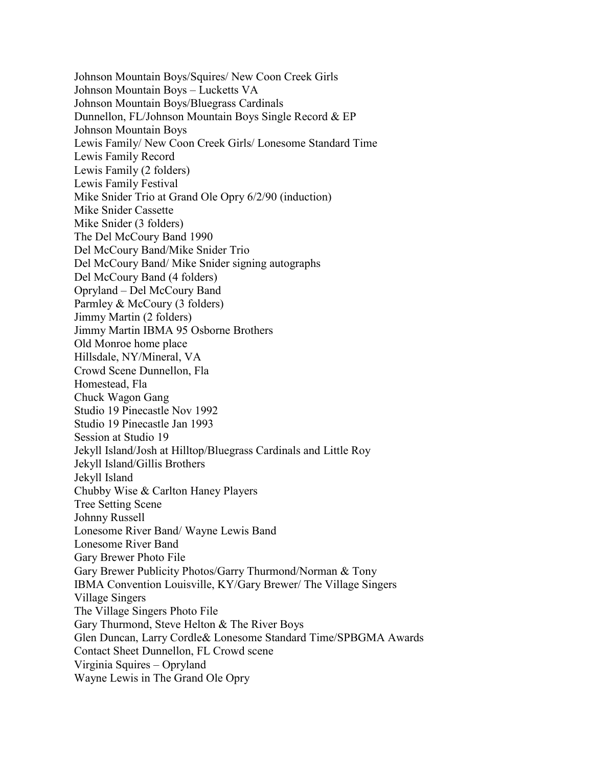Johnson Mountain Boys/Squires/ New Coon Creek Girls Johnson Mountain Boys – Lucketts VA Johnson Mountain Boys/Bluegrass Cardinals Dunnellon, FL/Johnson Mountain Boys Single Record & EP Johnson Mountain Boys Lewis Family/ New Coon Creek Girls/ Lonesome Standard Time Lewis Family Record Lewis Family (2 folders) Lewis Family Festival Mike Snider Trio at Grand Ole Opry 6/2/90 (induction) Mike Snider Cassette Mike Snider (3 folders) The Del McCoury Band 1990 Del McCoury Band/Mike Snider Trio Del McCoury Band/ Mike Snider signing autographs Del McCoury Band (4 folders) Opryland – Del McCoury Band Parmley & McCoury (3 folders) Jimmy Martin (2 folders) Jimmy Martin IBMA 95 Osborne Brothers Old Monroe home place Hillsdale, NY/Mineral, VA Crowd Scene Dunnellon, Fla Homestead, Fla Chuck Wagon Gang Studio 19 Pinecastle Nov 1992 Studio 19 Pinecastle Jan 1993 Session at Studio 19 Jekyll Island/Josh at Hilltop/Bluegrass Cardinals and Little Roy Jekyll Island/Gillis Brothers Jekyll Island Chubby Wise & Carlton Haney Players Tree Setting Scene Johnny Russell Lonesome River Band/ Wayne Lewis Band Lonesome River Band Gary Brewer Photo File Gary Brewer Publicity Photos/Garry Thurmond/Norman & Tony IBMA Convention Louisville, KY/Gary Brewer/ The Village Singers Village Singers The Village Singers Photo File Gary Thurmond, Steve Helton & The River Boys Glen Duncan, Larry Cordle& Lonesome Standard Time/SPBGMA Awards Contact Sheet Dunnellon, FL Crowd scene Virginia Squires – Opryland Wayne Lewis in The Grand Ole Opry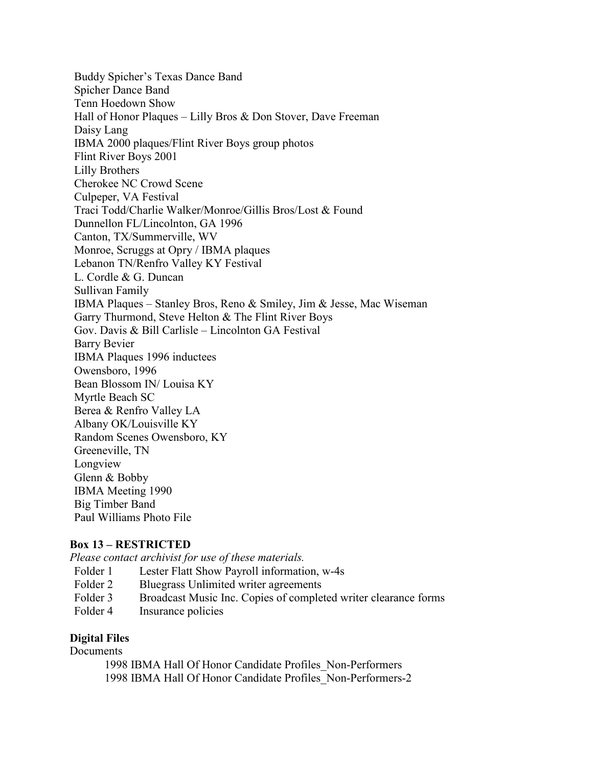Buddy Spicher's Texas Dance Band Spicher Dance Band Tenn Hoedown Show Hall of Honor Plaques – Lilly Bros & Don Stover, Dave Freeman Daisy Lang IBMA 2000 plaques/Flint River Boys group photos Flint River Boys 2001 Lilly Brothers Cherokee NC Crowd Scene Culpeper, VA Festival Traci Todd/Charlie Walker/Monroe/Gillis Bros/Lost & Found Dunnellon FL/Lincolnton, GA 1996 Canton, TX/Summerville, WV Monroe, Scruggs at Opry / IBMA plaques Lebanon TN/Renfro Valley KY Festival L. Cordle & G. Duncan Sullivan Family IBMA Plaques – Stanley Bros, Reno & Smiley, Jim & Jesse, Mac Wiseman Garry Thurmond, Steve Helton & The Flint River Boys Gov. Davis & Bill Carlisle – Lincolnton GA Festival Barry Bevier IBMA Plaques 1996 inductees Owensboro, 1996 Bean Blossom IN/ Louisa KY Myrtle Beach SC Berea & Renfro Valley LA Albany OK/Louisville KY Random Scenes Owensboro, KY Greeneville, TN Longview Glenn & Bobby IBMA Meeting 1990 Big Timber Band Paul Williams Photo File

### **Box 13 – RESTRICTED**

*Please contact archivist for use of these materials.*

- Folder 1 Lester Flatt Show Payroll information, w-4s
- Folder 2 Bluegrass Unlimited writer agreements
- Folder 3 Broadcast Music Inc. Copies of completed writer clearance forms
- Folder 4 Insurance policies

#### **Digital Files**

#### **Documents**

1998 IBMA Hall Of Honor Candidate Profiles\_Non-Performers 1998 IBMA Hall Of Honor Candidate Profiles\_Non-Performers-2